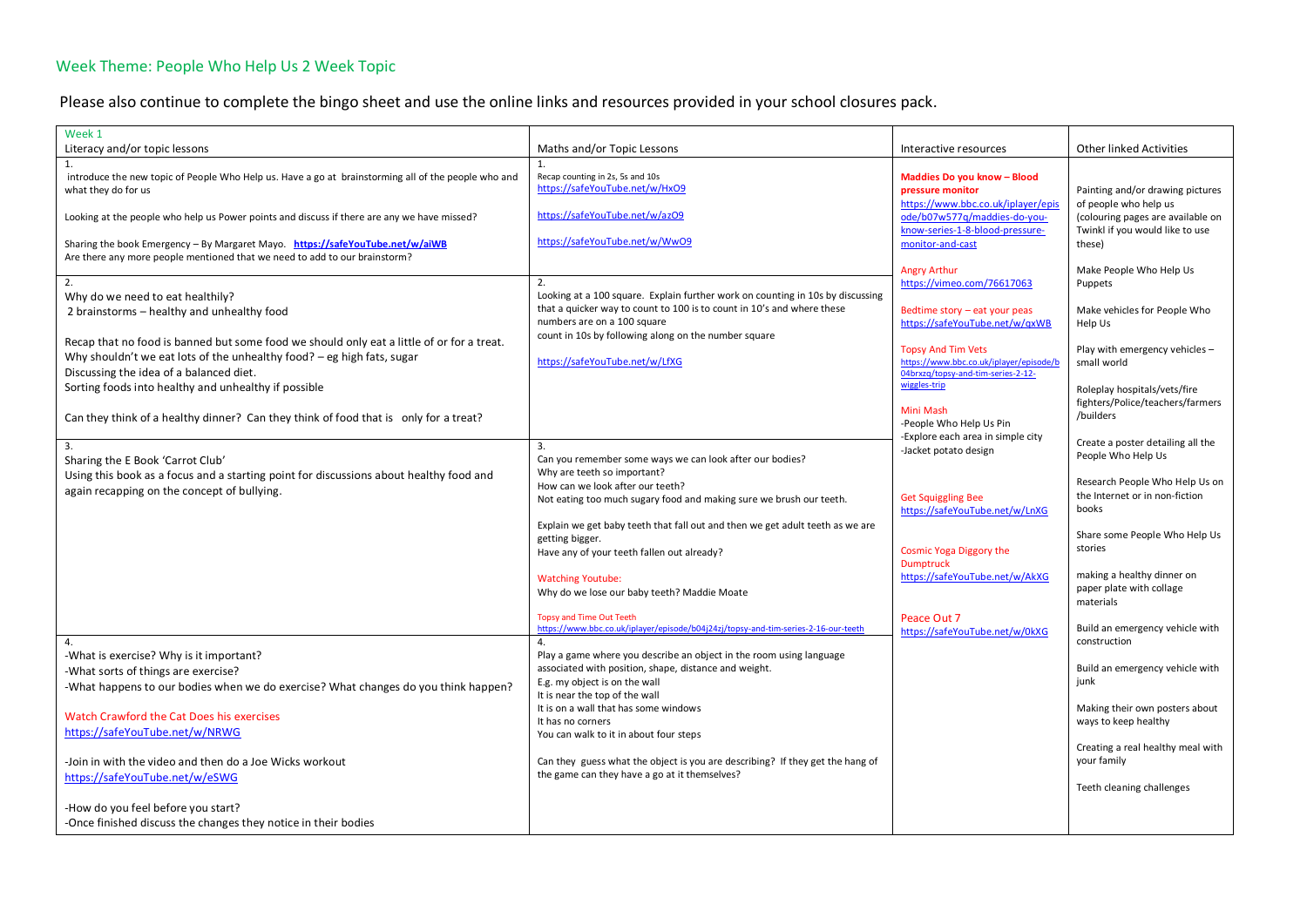## Week Theme: People Who Help Us 2 Week Topic

Please also continue to complete the bingo sheet and use the online links and resources provided in your school closures pack.

| Literacy and/or topic lessons<br>Maths and/or Topic Lessons<br><b>Other linked Activities</b><br>Interactive resources<br>1.<br>1.<br>Recap counting in 2s, 5s and 10s<br>introduce the new topic of People Who Help us. Have a go at brainstorming all of the people who and<br>Maddies Do you know - Blood<br>https://safeYouTube.net/w/HxO9<br>what they do for us<br>pressure monitor<br>Painting and/or drawing pictures<br>https://www.bbc.co.uk/iplayer/epis<br>of people who help us<br>https://safeYouTube.net/w/azO9<br>ode/b07w577q/maddies-do-you-<br>Looking at the people who help us Power points and discuss if there are any we have missed?<br>(colouring pages are available on<br>know-series-1-8-blood-pressure-<br>Twinkl if you would like to use<br>https://safeYouTube.net/w/WwO9<br>Sharing the book Emergency - By Margaret Mayo. https://safeYouTube.net/w/aiWB<br>monitor-and-cast<br>these)<br>Are there any more people mentioned that we need to add to our brainstorm?<br>Make People Who Help Us<br><b>Angry Arthur</b><br>2.<br>2.<br>https://vimeo.com/76617063<br>Puppets<br>Looking at a 100 square. Explain further work on counting in 10s by discussing<br>Why do we need to eat healthily?<br>that a quicker way to count to 100 is to count in 10's and where these<br>Make vehicles for People Who<br>Bedtime story - eat your peas<br>2 brainstorms - healthy and unhealthy food | Week 1 |                             |                                |         |
|-------------------------------------------------------------------------------------------------------------------------------------------------------------------------------------------------------------------------------------------------------------------------------------------------------------------------------------------------------------------------------------------------------------------------------------------------------------------------------------------------------------------------------------------------------------------------------------------------------------------------------------------------------------------------------------------------------------------------------------------------------------------------------------------------------------------------------------------------------------------------------------------------------------------------------------------------------------------------------------------------------------------------------------------------------------------------------------------------------------------------------------------------------------------------------------------------------------------------------------------------------------------------------------------------------------------------------------------------------------------------------------------------------------------------------|--------|-----------------------------|--------------------------------|---------|
|                                                                                                                                                                                                                                                                                                                                                                                                                                                                                                                                                                                                                                                                                                                                                                                                                                                                                                                                                                                                                                                                                                                                                                                                                                                                                                                                                                                                                               |        |                             |                                |         |
|                                                                                                                                                                                                                                                                                                                                                                                                                                                                                                                                                                                                                                                                                                                                                                                                                                                                                                                                                                                                                                                                                                                                                                                                                                                                                                                                                                                                                               |        |                             |                                |         |
|                                                                                                                                                                                                                                                                                                                                                                                                                                                                                                                                                                                                                                                                                                                                                                                                                                                                                                                                                                                                                                                                                                                                                                                                                                                                                                                                                                                                                               |        |                             |                                |         |
|                                                                                                                                                                                                                                                                                                                                                                                                                                                                                                                                                                                                                                                                                                                                                                                                                                                                                                                                                                                                                                                                                                                                                                                                                                                                                                                                                                                                                               |        |                             |                                |         |
|                                                                                                                                                                                                                                                                                                                                                                                                                                                                                                                                                                                                                                                                                                                                                                                                                                                                                                                                                                                                                                                                                                                                                                                                                                                                                                                                                                                                                               |        |                             |                                |         |
|                                                                                                                                                                                                                                                                                                                                                                                                                                                                                                                                                                                                                                                                                                                                                                                                                                                                                                                                                                                                                                                                                                                                                                                                                                                                                                                                                                                                                               |        |                             |                                |         |
|                                                                                                                                                                                                                                                                                                                                                                                                                                                                                                                                                                                                                                                                                                                                                                                                                                                                                                                                                                                                                                                                                                                                                                                                                                                                                                                                                                                                                               |        |                             |                                |         |
|                                                                                                                                                                                                                                                                                                                                                                                                                                                                                                                                                                                                                                                                                                                                                                                                                                                                                                                                                                                                                                                                                                                                                                                                                                                                                                                                                                                                                               |        |                             |                                |         |
|                                                                                                                                                                                                                                                                                                                                                                                                                                                                                                                                                                                                                                                                                                                                                                                                                                                                                                                                                                                                                                                                                                                                                                                                                                                                                                                                                                                                                               |        |                             |                                |         |
|                                                                                                                                                                                                                                                                                                                                                                                                                                                                                                                                                                                                                                                                                                                                                                                                                                                                                                                                                                                                                                                                                                                                                                                                                                                                                                                                                                                                                               |        |                             |                                |         |
|                                                                                                                                                                                                                                                                                                                                                                                                                                                                                                                                                                                                                                                                                                                                                                                                                                                                                                                                                                                                                                                                                                                                                                                                                                                                                                                                                                                                                               |        |                             |                                |         |
|                                                                                                                                                                                                                                                                                                                                                                                                                                                                                                                                                                                                                                                                                                                                                                                                                                                                                                                                                                                                                                                                                                                                                                                                                                                                                                                                                                                                                               |        |                             |                                |         |
|                                                                                                                                                                                                                                                                                                                                                                                                                                                                                                                                                                                                                                                                                                                                                                                                                                                                                                                                                                                                                                                                                                                                                                                                                                                                                                                                                                                                                               |        |                             |                                |         |
|                                                                                                                                                                                                                                                                                                                                                                                                                                                                                                                                                                                                                                                                                                                                                                                                                                                                                                                                                                                                                                                                                                                                                                                                                                                                                                                                                                                                                               |        | numbers are on a 100 square | https://safeYouTube.net/w/gxWB | Help Us |
| count in 10s by following along on the number square<br>Recap that no food is banned but some food we should only eat a little of or for a treat.                                                                                                                                                                                                                                                                                                                                                                                                                                                                                                                                                                                                                                                                                                                                                                                                                                                                                                                                                                                                                                                                                                                                                                                                                                                                             |        |                             |                                |         |
| Play with emergency vehicles -<br><b>Topsy And Tim Vets</b><br>Why shouldn't we eat lots of the unhealthy food? – eg high fats, sugar                                                                                                                                                                                                                                                                                                                                                                                                                                                                                                                                                                                                                                                                                                                                                                                                                                                                                                                                                                                                                                                                                                                                                                                                                                                                                         |        |                             |                                |         |
| https://safeYouTube.net/w/LfXG<br>https://www.bbc.co.uk/iplayer/episode/b<br>small world<br>Discussing the idea of a balanced diet.<br>04brxzq/topsy-and-tim-series-2-12-                                                                                                                                                                                                                                                                                                                                                                                                                                                                                                                                                                                                                                                                                                                                                                                                                                                                                                                                                                                                                                                                                                                                                                                                                                                     |        |                             |                                |         |
| wiggles-trip                                                                                                                                                                                                                                                                                                                                                                                                                                                                                                                                                                                                                                                                                                                                                                                                                                                                                                                                                                                                                                                                                                                                                                                                                                                                                                                                                                                                                  |        |                             |                                |         |
| Sorting foods into healthy and unhealthy if possible<br>Roleplay hospitals/vets/fire                                                                                                                                                                                                                                                                                                                                                                                                                                                                                                                                                                                                                                                                                                                                                                                                                                                                                                                                                                                                                                                                                                                                                                                                                                                                                                                                          |        |                             |                                |         |
| fighters/Police/teachers/farmers<br>Mini Mash                                                                                                                                                                                                                                                                                                                                                                                                                                                                                                                                                                                                                                                                                                                                                                                                                                                                                                                                                                                                                                                                                                                                                                                                                                                                                                                                                                                 |        |                             |                                |         |
| /builders<br>Can they think of a healthy dinner? Can they think of food that is only for a treat?<br>-People Who Help Us Pin                                                                                                                                                                                                                                                                                                                                                                                                                                                                                                                                                                                                                                                                                                                                                                                                                                                                                                                                                                                                                                                                                                                                                                                                                                                                                                  |        |                             |                                |         |
| -Explore each area in simple city                                                                                                                                                                                                                                                                                                                                                                                                                                                                                                                                                                                                                                                                                                                                                                                                                                                                                                                                                                                                                                                                                                                                                                                                                                                                                                                                                                                             |        |                             |                                |         |
| Create a poster detailing all the<br>3.<br>3.<br>-Jacket potato design                                                                                                                                                                                                                                                                                                                                                                                                                                                                                                                                                                                                                                                                                                                                                                                                                                                                                                                                                                                                                                                                                                                                                                                                                                                                                                                                                        |        |                             |                                |         |
| People Who Help Us<br>Can you remember some ways we can look after our bodies?<br>Sharing the E Book 'Carrot Club'                                                                                                                                                                                                                                                                                                                                                                                                                                                                                                                                                                                                                                                                                                                                                                                                                                                                                                                                                                                                                                                                                                                                                                                                                                                                                                            |        |                             |                                |         |
| Why are teeth so important?<br>Using this book as a focus and a starting point for discussions about healthy food and<br>Research People Who Help Us on                                                                                                                                                                                                                                                                                                                                                                                                                                                                                                                                                                                                                                                                                                                                                                                                                                                                                                                                                                                                                                                                                                                                                                                                                                                                       |        |                             |                                |         |
| How can we look after our teeth?<br>again recapping on the concept of bullying.<br>the Internet or in non-fiction                                                                                                                                                                                                                                                                                                                                                                                                                                                                                                                                                                                                                                                                                                                                                                                                                                                                                                                                                                                                                                                                                                                                                                                                                                                                                                             |        |                             |                                |         |
| <b>Get Squiggling Bee</b><br>Not eating too much sugary food and making sure we brush our teeth.<br>books                                                                                                                                                                                                                                                                                                                                                                                                                                                                                                                                                                                                                                                                                                                                                                                                                                                                                                                                                                                                                                                                                                                                                                                                                                                                                                                     |        |                             |                                |         |
| https://safeYouTube.net/w/LnXG                                                                                                                                                                                                                                                                                                                                                                                                                                                                                                                                                                                                                                                                                                                                                                                                                                                                                                                                                                                                                                                                                                                                                                                                                                                                                                                                                                                                |        |                             |                                |         |
| Explain we get baby teeth that fall out and then we get adult teeth as we are<br>Share some People Who Help Us                                                                                                                                                                                                                                                                                                                                                                                                                                                                                                                                                                                                                                                                                                                                                                                                                                                                                                                                                                                                                                                                                                                                                                                                                                                                                                                |        |                             |                                |         |
| getting bigger.<br>stories<br>Cosmic Yoga Diggory the                                                                                                                                                                                                                                                                                                                                                                                                                                                                                                                                                                                                                                                                                                                                                                                                                                                                                                                                                                                                                                                                                                                                                                                                                                                                                                                                                                         |        |                             |                                |         |
| Have any of your teeth fallen out already?<br><b>Dumptruck</b>                                                                                                                                                                                                                                                                                                                                                                                                                                                                                                                                                                                                                                                                                                                                                                                                                                                                                                                                                                                                                                                                                                                                                                                                                                                                                                                                                                |        |                             |                                |         |
| making a healthy dinner on<br>https://safeYouTube.net/w/AkXG<br><b>Watching Youtube:</b>                                                                                                                                                                                                                                                                                                                                                                                                                                                                                                                                                                                                                                                                                                                                                                                                                                                                                                                                                                                                                                                                                                                                                                                                                                                                                                                                      |        |                             |                                |         |
| paper plate with collage<br>Why do we lose our baby teeth? Maddie Moate                                                                                                                                                                                                                                                                                                                                                                                                                                                                                                                                                                                                                                                                                                                                                                                                                                                                                                                                                                                                                                                                                                                                                                                                                                                                                                                                                       |        |                             |                                |         |
| materials                                                                                                                                                                                                                                                                                                                                                                                                                                                                                                                                                                                                                                                                                                                                                                                                                                                                                                                                                                                                                                                                                                                                                                                                                                                                                                                                                                                                                     |        |                             |                                |         |
| <b>Topsy and Time Out Teeth</b><br>Peace Out 7                                                                                                                                                                                                                                                                                                                                                                                                                                                                                                                                                                                                                                                                                                                                                                                                                                                                                                                                                                                                                                                                                                                                                                                                                                                                                                                                                                                |        |                             |                                |         |
| https://www.bbc.co.uk/iplayer/episode/b04j24zj/topsy-and-tim-series-2-16-our-teeth<br>Build an emergency vehicle with<br>https://safeYouTube.net/w/0kXG                                                                                                                                                                                                                                                                                                                                                                                                                                                                                                                                                                                                                                                                                                                                                                                                                                                                                                                                                                                                                                                                                                                                                                                                                                                                       |        |                             |                                |         |
| 4.<br>construction<br>4.                                                                                                                                                                                                                                                                                                                                                                                                                                                                                                                                                                                                                                                                                                                                                                                                                                                                                                                                                                                                                                                                                                                                                                                                                                                                                                                                                                                                      |        |                             |                                |         |
| -What is exercise? Why is it important?<br>Play a game where you describe an object in the room using language                                                                                                                                                                                                                                                                                                                                                                                                                                                                                                                                                                                                                                                                                                                                                                                                                                                                                                                                                                                                                                                                                                                                                                                                                                                                                                                |        |                             |                                |         |
| Build an emergency vehicle with<br>associated with position, shape, distance and weight.<br>-What sorts of things are exercise?                                                                                                                                                                                                                                                                                                                                                                                                                                                                                                                                                                                                                                                                                                                                                                                                                                                                                                                                                                                                                                                                                                                                                                                                                                                                                               |        |                             |                                |         |
| iunk<br>E.g. my object is on the wall<br>-What happens to our bodies when we do exercise? What changes do you think happen?                                                                                                                                                                                                                                                                                                                                                                                                                                                                                                                                                                                                                                                                                                                                                                                                                                                                                                                                                                                                                                                                                                                                                                                                                                                                                                   |        |                             |                                |         |
| It is near the top of the wall                                                                                                                                                                                                                                                                                                                                                                                                                                                                                                                                                                                                                                                                                                                                                                                                                                                                                                                                                                                                                                                                                                                                                                                                                                                                                                                                                                                                |        |                             |                                |         |
| It is on a wall that has some windows<br>Making their own posters about<br>Watch Crawford the Cat Does his exercises                                                                                                                                                                                                                                                                                                                                                                                                                                                                                                                                                                                                                                                                                                                                                                                                                                                                                                                                                                                                                                                                                                                                                                                                                                                                                                          |        |                             |                                |         |
| ways to keep healthy<br>It has no corners<br>https://safeYouTube.net/w/NRWG                                                                                                                                                                                                                                                                                                                                                                                                                                                                                                                                                                                                                                                                                                                                                                                                                                                                                                                                                                                                                                                                                                                                                                                                                                                                                                                                                   |        |                             |                                |         |
| You can walk to it in about four steps                                                                                                                                                                                                                                                                                                                                                                                                                                                                                                                                                                                                                                                                                                                                                                                                                                                                                                                                                                                                                                                                                                                                                                                                                                                                                                                                                                                        |        |                             |                                |         |
| Creating a real healthy meal with                                                                                                                                                                                                                                                                                                                                                                                                                                                                                                                                                                                                                                                                                                                                                                                                                                                                                                                                                                                                                                                                                                                                                                                                                                                                                                                                                                                             |        |                             |                                |         |
| your family<br>Can they guess what the object is you are describing? If they get the hang of<br>-Join in with the video and then do a Joe Wicks workout                                                                                                                                                                                                                                                                                                                                                                                                                                                                                                                                                                                                                                                                                                                                                                                                                                                                                                                                                                                                                                                                                                                                                                                                                                                                       |        |                             |                                |         |
| the game can they have a go at it themselves?<br>https://safeYouTube.net/w/eSWG<br>Teeth cleaning challenges                                                                                                                                                                                                                                                                                                                                                                                                                                                                                                                                                                                                                                                                                                                                                                                                                                                                                                                                                                                                                                                                                                                                                                                                                                                                                                                  |        |                             |                                |         |
|                                                                                                                                                                                                                                                                                                                                                                                                                                                                                                                                                                                                                                                                                                                                                                                                                                                                                                                                                                                                                                                                                                                                                                                                                                                                                                                                                                                                                               |        |                             |                                |         |
| -How do you feel before you start?                                                                                                                                                                                                                                                                                                                                                                                                                                                                                                                                                                                                                                                                                                                                                                                                                                                                                                                                                                                                                                                                                                                                                                                                                                                                                                                                                                                            |        |                             |                                |         |
| -Once finished discuss the changes they notice in their bodies                                                                                                                                                                                                                                                                                                                                                                                                                                                                                                                                                                                                                                                                                                                                                                                                                                                                                                                                                                                                                                                                                                                                                                                                                                                                                                                                                                |        |                             |                                |         |